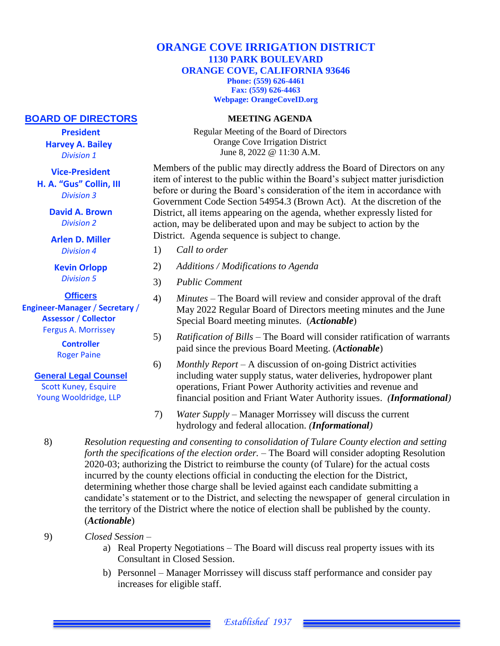## **ORANGE COVE IRRIGATION DISTRICT 1130 PARK BOULEVARD ORANGE COVE, CALIFORNIA 93646**

**Phone: (559) 626-4461 Fax: (559) 626-4463 Webpage: OrangeCoveID.org**

## **MEETING AGENDA**

Regular Meeting of the Board of Directors Orange Cove Irrigation District June 8, 2022 @ 11:30 A.M.

Members of the public may directly address the Board of Directors on any item of interest to the public within the Board's subject matter jurisdiction before or during the Board's consideration of the item in accordance with Government Code Section 54954.3 (Brown Act). At the discretion of the District, all items appearing on the agenda, whether expressly listed for action, may be deliberated upon and may be subject to action by the District. Agenda sequence is subject to change.

- 1) *Call to order*
- 2) *Additions / Modifications to Agenda*
- 3) *Public Comment*
- 4) *Minutes –* The Board will review and consider approval of the draft May 2022 Regular Board of Directors meeting minutes and the June Special Board meeting minutes. (*Actionable*)
- 5) *Ratification of Bills* The Board will consider ratification of warrants paid since the previous Board Meeting. (*Actionable*)
- 6) *Monthly Report* A discussion of on-going District activities including water supply status, water deliveries, hydropower plant operations, Friant Power Authority activities and revenue and financial position and Friant Water Authority issues. *(Informational)*
- 7) *Water Supply –* Manager Morrissey will discuss the current hydrology and federal allocation. *(Informational)*
- 8) *Resolution requesting and consenting to consolidation of Tulare County election and setting forth the specifications of the election order. –* The Board will consider adopting Resolution 2020-03; authorizing the District to reimburse the county (of Tulare) for the actual costs incurred by the county elections official in conducting the election for the District, determining whether those charge shall be levied against each candidate submitting a candidate's statement or to the District, and selecting the newspaper of general circulation in the territory of the District where the notice of election shall be published by the county. (*Actionable*)
- 9) *Closed Session –*
	- a) Real Property Negotiations The Board will discuss real property issues with its Consultant in Closed Session.
	- b) Personnel Manager Morrissey will discuss staff performance and consider pay increases for eligible staff.

## **BOARD OF DIRECTORS**

**President Harvey A. Bailey** *Division 1*

**Vice-President** 

**H. A. "Gus" Collin, III** *Division 3*

> **David A. Brown** *Division 2*

**Arlen D. Miller** *Division 4*

**Kevin Orlopp** *Division 5*

**Officers**

**Engineer-Manager** / **Secretary** / **Assessor** / **Collector** Fergus A. Morrissey

> **Controller**  Roger Paine

## **General Legal Counsel**

Scott Kuney, Esquire Young Wooldridge, LLP